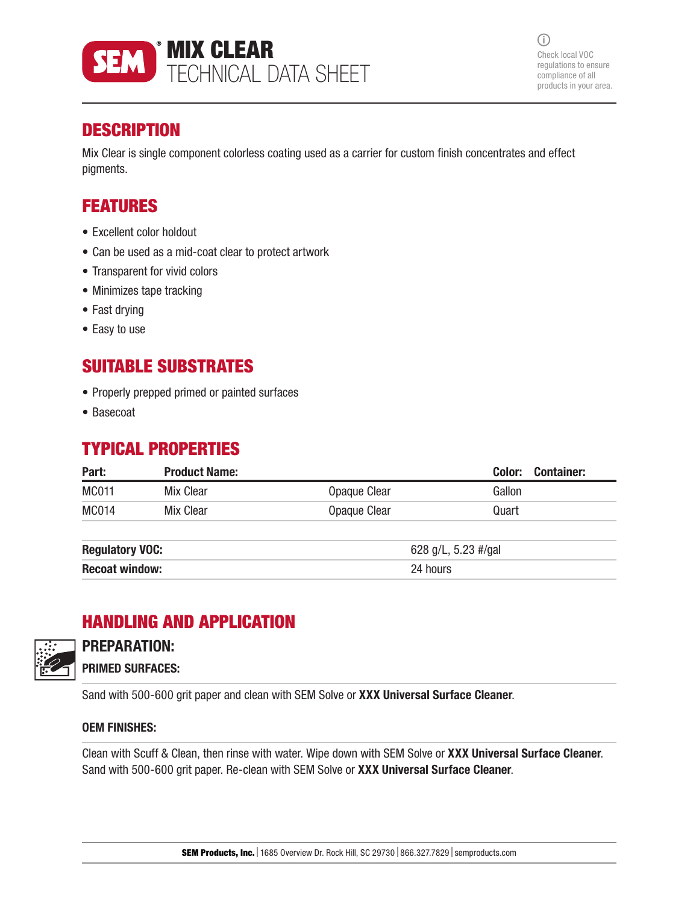

 $(i)$ Check local VOC regulations to ensure compliance of all products in your area.

## **DESCRIPTION**

Mix Clear is single component colorless coating used as a carrier for custom finish concentrates and effect pigments.

## FEATURES

- Excellent color holdout
- Can be used as a mid-coat clear to protect artwork
- Transparent for vivid colors
- Minimizes tape tracking
- Fast drying
- Easy to use

## SUITABLE SUBSTRATES

- Properly prepped primed or painted surfaces
- Basecoat

## TYPICAL PROPERTIES

| Part:                  | <b>Product Name:</b> |              | Color:<br><b>Container:</b> |
|------------------------|----------------------|--------------|-----------------------------|
| <b>MC011</b>           | Mix Clear            | Opaque Clear | Gallon                      |
| <b>MC014</b>           | Mix Clear            | Opaque Clear | Quart                       |
| <b>Regulatory VOC:</b> |                      |              | 628 g/L, 5.23 #/gal         |
| <b>Recoat window:</b>  |                      | 24 hours     |                             |

# HANDLING AND APPLICATION



### PREPARATION:

PRIMED SURFACES:

Sand with 500-600 grit paper and clean with SEM Solve or XXX Universal Surface Cleaner.

#### OEM FINISHES:

Clean with Scuff & Clean, then rinse with water. Wipe down with SEM Solve or XXX Universal Surface Cleaner. Sand with 500-600 grit paper. Re-clean with SEM Solve or XXX Universal Surface Cleaner.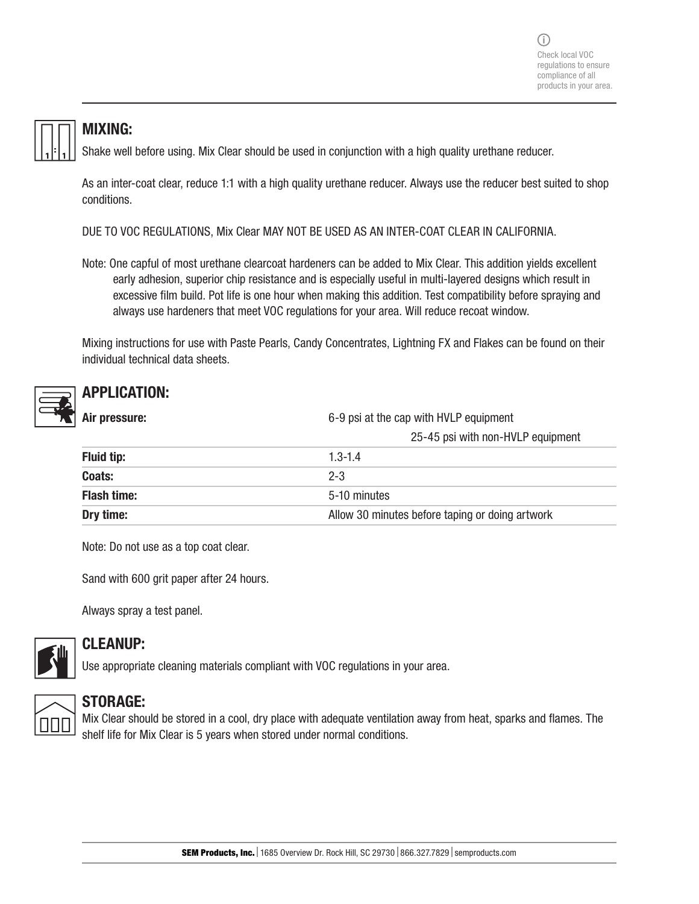

#### MIXING:

Shake well before using. Mix Clear should be used in conjunction with a high quality urethane reducer.

As an inter-coat clear, reduce 1:1 with a high quality urethane reducer. Always use the reducer best suited to shop conditions.

DUE TO VOC REGULATIONS, Mix Clear MAY NOT BE USED AS AN INTER-COAT CLEAR IN CALIFORNIA.

Note: One capful of most urethane clearcoat hardeners can be added to Mix Clear. This addition yields excellent early adhesion, superior chip resistance and is especially useful in multi-layered designs which result in excessive film build. Pot life is one hour when making this addition. Test compatibility before spraying and always use hardeners that meet VOC regulations for your area. Will reduce recoat window.

Mixing instructions for use with Paste Pearls, Candy Concentrates, Lightning FX and Flakes can be found on their individual technical data sheets.

### APPLICATION:

| Air pressure:      | 6-9 psi at the cap with HVLP equipment          |
|--------------------|-------------------------------------------------|
|                    | 25-45 psi with non-HVLP equipment               |
| <b>Fluid tip:</b>  | $1.3 - 1.4$                                     |
| Coats:             | $2 - 3$                                         |
| <b>Flash time:</b> | 5-10 minutes                                    |
| Dry time:          | Allow 30 minutes before taping or doing artwork |

Note: Do not use as a top coat clear.

Sand with 600 grit paper after 24 hours.

Always spray a test panel.



### CLEANUP:

Use appropriate cleaning materials compliant with VOC regulations in your area.



#### STORAGE:

Mix Clear should be stored in a cool, dry place with adequate ventilation away from heat, sparks and flames. The shelf life for Mix Clear is 5 years when stored under normal conditions.